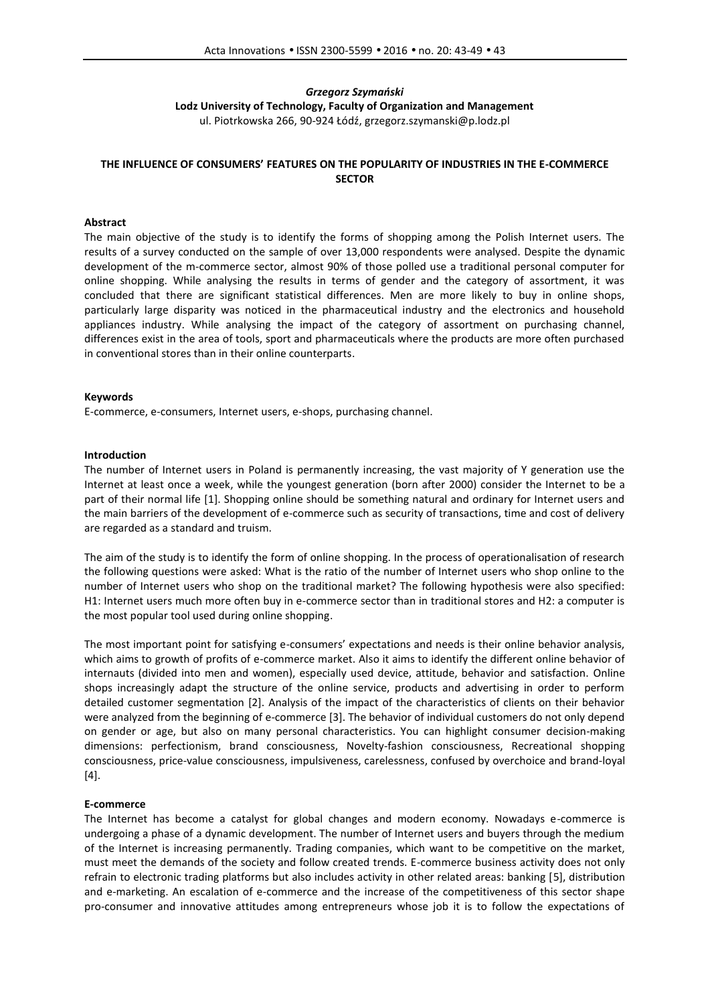# *Grzegorz Szymański* **Lodz University of Technology, Faculty of Organization and Management** ul. Piotrkowska 266, 90-924 Łódź, grzegorz.szymanski@p.lodz.pl

# **THE INFLUENCE OF CONSUMERS' FEATURES ON THE POPULARITY OF INDUSTRIES IN THE E-COMMERCE SECTOR**

## **Abstract**

The main objective of the study is to identify the forms of shopping among the Polish Internet users. The results of a survey conducted on the sample of over 13,000 respondents were analysed. Despite the dynamic development of the m-commerce sector, almost 90% of those polled use a traditional personal computer for online shopping. While analysing the results in terms of gender and the category of assortment, it was concluded that there are significant statistical differences. Men are more likely to buy in online shops, particularly large disparity was noticed in the pharmaceutical industry and the electronics and household appliances industry. While analysing the impact of the category of assortment on purchasing channel, differences exist in the area of tools, sport and pharmaceuticals where the products are more often purchased in conventional stores than in their online counterparts.

#### **Keywords**

E-commerce, e-consumers, Internet users, e-shops, purchasing channel.

## **Introduction**

The number of Internet users in Poland is permanently increasing, the vast majority of Y generation use the Internet at least once a week, while the youngest generation (born after 2000) consider the Internet to be a part of their normal life [1]. Shopping online should be something natural and ordinary for Internet users and the main barriers of the development of e-commerce such as security of transactions, time and cost of delivery are regarded as a standard and truism.

The aim of the study is to identify the form of online shopping. In the process of operationalisation of research the following questions were asked: What is the ratio of the number of Internet users who shop online to the number of Internet users who shop on the traditional market? The following hypothesis were also specified: H1: Internet users much more often buy in e-commerce sector than in traditional stores and H2: a computer is the most popular tool used during online shopping.

The most important point for satisfying e-consumers' expectations and needs is their online behavior analysis, which aims to growth of profits of e-commerce market. Also it aims to identify the different online behavior of internauts (divided into men and women), especially used device, attitude, behavior and satisfaction. Online shops increasingly adapt the structure of the online service, products and advertising in order to perform detailed customer segmentation [2]. Analysis of the impact of the characteristics of clients on their behavior were analyzed from the beginning of e-commerce [3]. The behavior of individual customers do not only depend on gender or age, but also on many personal characteristics. You can highlight consumer decision-making dimensions: perfectionism, brand consciousness, Novelty-fashion consciousness, Recreational shopping consciousness, price-value consciousness, impulsiveness, carelessness, confused by overchoice and brand-loyal [4].

#### **E-commerce**

The Internet has become a catalyst for global changes and modern economy. Nowadays e-commerce is undergoing a phase of a dynamic development. The number of Internet users and buyers through the medium of the Internet is increasing permanently. Trading companies, which want to be competitive on the market, must meet the demands of the society and follow created trends. E-commerce business activity does not only refrain to electronic trading platforms but also includes activity in other related areas: banking [5], distribution and e-marketing. An escalation of e-commerce and the increase of the competitiveness of this sector shape pro-consumer and innovative attitudes among entrepreneurs whose job it is to follow the expectations of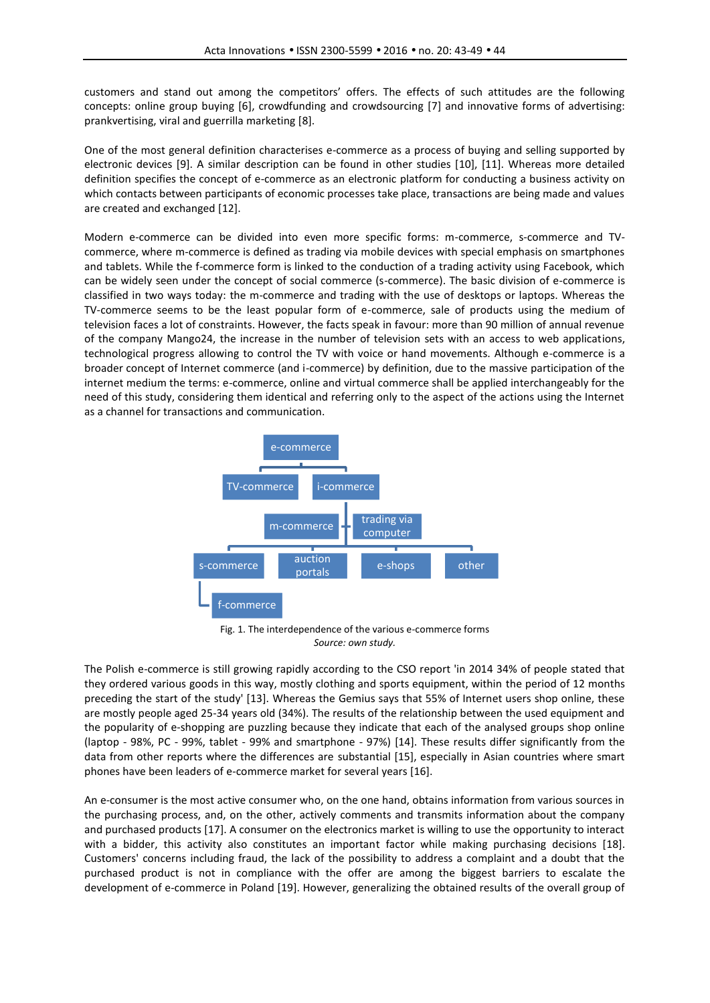customers and stand out among the competitors' offers. The effects of such attitudes are the following concepts: online group buying [6], crowdfunding and crowdsourcing [7] and innovative forms of advertising: prankvertising, viral and guerrilla marketing [8].

One of the most general definition characterises e-commerce as a process of buying and selling supported by electronic devices [9]. A similar description can be found in other studies [10], [11]. Whereas more detailed definition specifies the concept of e-commerce as an electronic platform for conducting a business activity on which contacts between participants of economic processes take place, transactions are being made and values are created and exchanged [12].

Modern e-commerce can be divided into even more specific forms: m-commerce, s-commerce and TV commerce, where m-commerce is defined as trading via mobile devices with special emphasis on smartphones and tablets. While the f-commerce form is linked to the conduction of a trading activity using Facebook, which can be widely seen under the concept of social commerce (s-commerce). The basic division of e-commerce is classified in two ways today: the m-commerce and trading with the use of desktops or laptops. Whereas the TV-commerce seems to be the least popular form of e-commerce, sale of products using the medium of television faces a lot of constraints. However, the facts speak in favour: more than 90 million of annual revenue of the company Mango24, the increase in the number of television sets with an access to web applications, technological progress allowing to control the TV with voice or hand movements. Although e-commerce is a broader concept of Internet commerce (and i-commerce) by definition, due to the massive participation of the internet medium the terms: e-commerce, online and virtual commerce shall be applied interchangeably for the need of this study, considering them identical and referring only to the aspect of the actions using the Internet as a channel for transactions and communication.



Fig. 1. The interdependence of the various e-commerce forms *Source: own study.*

The Polish e-commerce is still growing rapidly according to the CSO report 'in 2014 34% of people stated that they ordered various goods in this way, mostly clothing and sports equipment, within the period of 12 months preceding the start of the study' [13]. Whereas the Gemius says that 55% of Internet users shop online, these are mostly people aged 25-34 years old (34%). The results of the relationship between the used equipment and the popularity of e-shopping are puzzling because they indicate that each of the analysed groups shop online (laptop - 98%, PC - 99%, tablet - 99% and smartphone - 97%) [14]. These results differ significantly from the data from other reports where the differences are substantial [15], especially in Asian countries where smart phones have been leaders of e-commerce market for several years [16].

An e-consumer is the most active consumer who, on the one hand, obtains information from various sources in the purchasing process, and, on the other, actively comments and transmits information about the company and purchased products [17]. A consumer on the electronics market is willing to use the opportunity to interact with a bidder, this activity also constitutes an important factor while making purchasing decisions [18]. Customers' concerns including fraud, the lack of the possibility to address a complaint and a doubt that the purchased product is not in compliance with the offer are among the biggest barriers to escalate the development of e-commerce in Poland [19]. However, generalizing the obtained results of the overall group of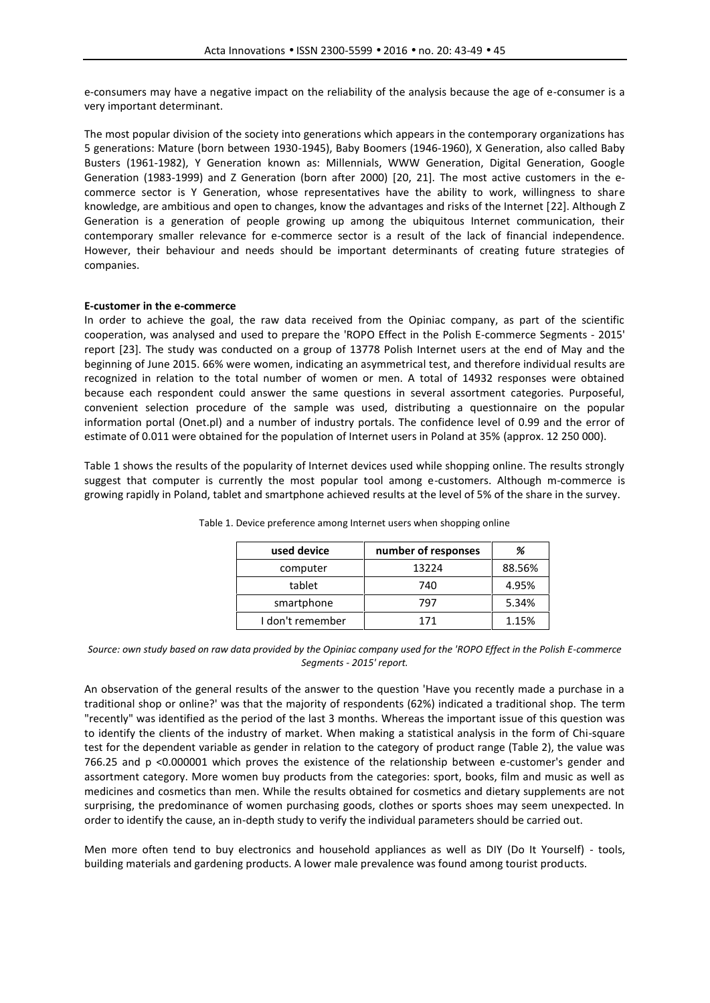e-consumers may have a negative impact on the reliability of the analysis because the age of e-consumer is a very important determinant.

The most popular division of the society into generations which appears in the contemporary organizations has 5 generations: Mature (born between 1930-1945), Baby Boomers (1946-1960), X Generation, also called Baby Busters (1961-1982), Y Generation known as: Millennials, WWW Generation, Digital Generation, Google Generation (1983-1999) and Z Generation (born after 2000) [20, 21]. The most active customers in the e commerce sector is Y Generation, whose representatives have the ability to work, willingness to share knowledge, are ambitious and open to changes, know the advantages and risks of the Internet [22]. Although Z Generation is a generation of people growing up among the ubiquitous Internet communication, their contemporary smaller relevance for e-commerce sector is a result of the lack of financial independence. However, their behaviour and needs should be important determinants of creating future strategies of companies.

# **E-customer in the e-commerce**

In order to achieve the goal, the raw data received from the Opiniac company, as part of the scientific cooperation, was analysed and used to prepare the 'ROPO Effect in the Polish E-commerce Segments -2015' report [23]. The study was conducted on a group of 13778 Polish Internet users at the end of May and the beginning of June 2015. 66% were women, indicating an asymmetrical test, and therefore individual results are recognized in relation to the total number of women or men. A total of 14932 responses were obtained because each respondent could answer the same questions in several assortment categories. Purposeful, convenient selection procedure of the sample was used, distributing a questionnaire on the popular information portal (Onet.pl) and a number of industry portals. The confidence level of 0.99 and the error of estimate of 0.011 were obtained for the population of Internet users in Poland at 35% (approx. 12 250 000).

Table 1 shows the results of the popularity of Internet devices used while shopping online. The results strongly suggest that computer is currently the most popular tool among e-customers. Although m-commerce is growing rapidly in Poland, tablet and smartphone achieved results at the level of 5% of the share in the survey.

| used device      | number of responses | %      |
|------------------|---------------------|--------|
| computer         | 13224               | 88.56% |
| tablet           | 740                 | 4.95%  |
| smartphone       | 797                 | 5.34%  |
| I don't remember | 171                 | 1.15%  |

Table 1. Device preference among Internet users when shopping online

#### *Source: own study based on raw data provided by the Opiniac company used for the 'ROPO Effect in the Polish E-commerce Segments - 2015' report.*

An observation of the general results of the answer to the question 'Have you recently made a purchase in a traditional shop or online?' was that the majority of respondents (62%) indicated a traditional shop. The term "recently" was identified as the period of the last 3 months. Whereas the important issue of this question was to identify the clients of the industry of market. When making a statistical analysis in the form of Chi-square test for the dependent variable as gender in relation to the category of product range (Table 2), the value was 766.25 and p <0.000001 which proves the existence of the relationship between e-customer's gender and assortment category. More women buy products from the categories: sport, books, film and music as well as medicines and cosmetics than men. While the results obtained for cosmetics and dietary supplements are not surprising, the predominance of women purchasing goods, clothes or sports shoes may seem unexpected. In order to identify the cause, an in-depth study to verify the individual parameters should be carried out.

Men more often tend to buy electronics and household appliances as well as DIY (Do It Yourself) - tools, building materials and gardening products. A lower male prevalence was found among tourist products.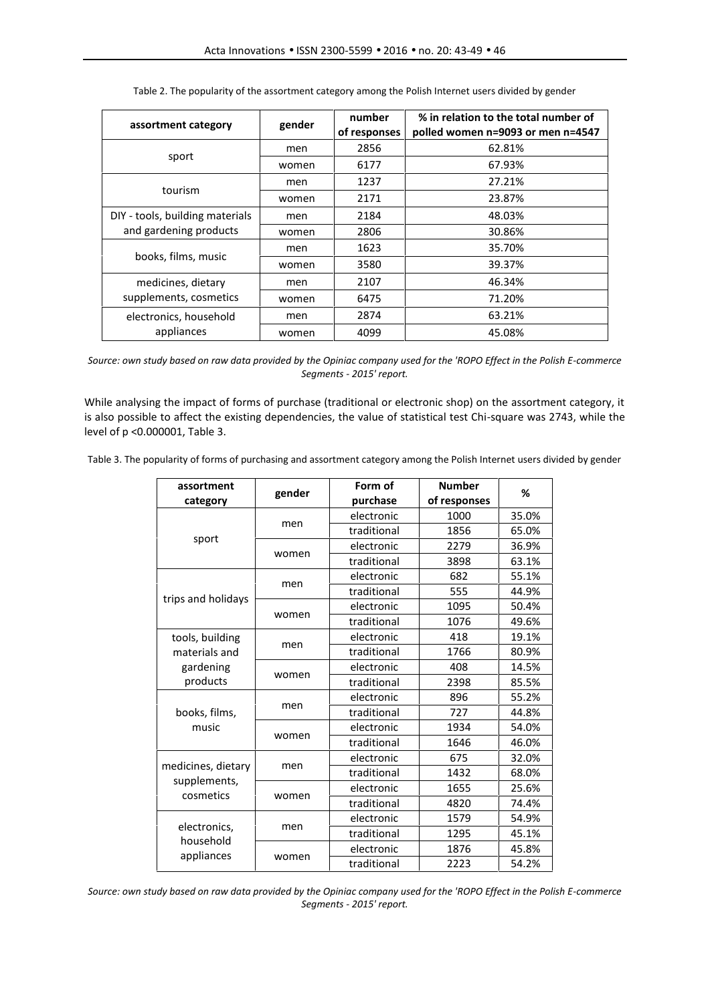| assortment category             | gender | number<br>of responses | % in relation to the total number of<br>polled women n=9093 or men n=4547 |
|---------------------------------|--------|------------------------|---------------------------------------------------------------------------|
|                                 | men    | 2856                   | 62.81%                                                                    |
| sport                           | women  | 6177                   | 67.93%                                                                    |
|                                 | men    | 1237                   | 27.21%                                                                    |
| tourism                         | women  | 2171                   | 23.87%                                                                    |
| DIY - tools, building materials | men    | 2184                   | 48.03%                                                                    |
| and gardening products          | women  | 2806                   | 30.86%                                                                    |
|                                 | men    | 1623                   | 35.70%                                                                    |
| books, films, music             | women  | 3580                   | 39.37%                                                                    |
| medicines, dietary              | men    | 2107                   | 46.34%                                                                    |
| supplements, cosmetics          | women  | 6475                   | 71.20%                                                                    |
| electronics, household          | men    | 2874                   | 63.21%                                                                    |
| appliances                      | women  | 4099                   | 45.08%                                                                    |

Table 2. The popularity of the assortment category among the Polish Internet users divided by gender

*Source: own study based on raw data provided by the Opiniac company used for the 'ROPO Effect in the Polish E-commerce Segments - 2015' report.*

While analysing the impact of forms of purchase (traditional or electronic shop) on the assortment category, it is also possible to affect the existing dependencies, the value of statistical test Chi-square was 2743, while the level of p <0.000001, Table 3.

Table 3. The popularity of forms of purchasing and assortment category among the Polish Internet users divided by gender

| assortment<br>gender                            |       | Form of     | <b>Number</b> | %     |  |
|-------------------------------------------------|-------|-------------|---------------|-------|--|
| category                                        |       | purchase    | of responses  |       |  |
| sport                                           | men   | electronic  | 1000          | 35.0% |  |
|                                                 |       | traditional | 1856          | 65.0% |  |
|                                                 | women | electronic  | 2279          | 36.9% |  |
|                                                 |       | traditional | 3898          | 63.1% |  |
| trips and holidays                              | men   | electronic  | 682           | 55.1% |  |
|                                                 |       | traditional | 555           | 44.9% |  |
|                                                 | women | electronic  | 1095          | 50.4% |  |
|                                                 |       | traditional | 1076          | 49.6% |  |
| tools, building                                 |       | electronic  | 418           | 19.1% |  |
| materials and                                   | men   | traditional | 1766          | 80.9% |  |
| gardening<br>products                           | women | electronic  | 408           | 14.5% |  |
|                                                 |       | traditional | 2398          | 85.5% |  |
| books, films,<br>music                          | men   | electronic  | 896           | 55.2% |  |
|                                                 |       | traditional | 727           | 44.8% |  |
|                                                 | women | electronic  | 1934          | 54.0% |  |
|                                                 |       | traditional | 1646          | 46.0% |  |
| medicines, dietary<br>supplements,<br>cosmetics | men   | electronic  | 675           | 32.0% |  |
|                                                 |       | traditional | 1432          | 68.0% |  |
|                                                 | women | electronic  | 1655          | 25.6% |  |
|                                                 |       | traditional | 4820          | 74.4% |  |
| electronics,<br>household<br>appliances         | men   | electronic  | 1579          | 54.9% |  |
|                                                 |       | traditional | 1295          | 45.1% |  |
|                                                 | women | electronic  | 1876          | 45.8% |  |
|                                                 |       | traditional | 2223          | 54.2% |  |

*Source: own study based on raw data provided by the Opiniac company used for the 'ROPO Effect in the Polish E-commerce Segments - 2015' report.*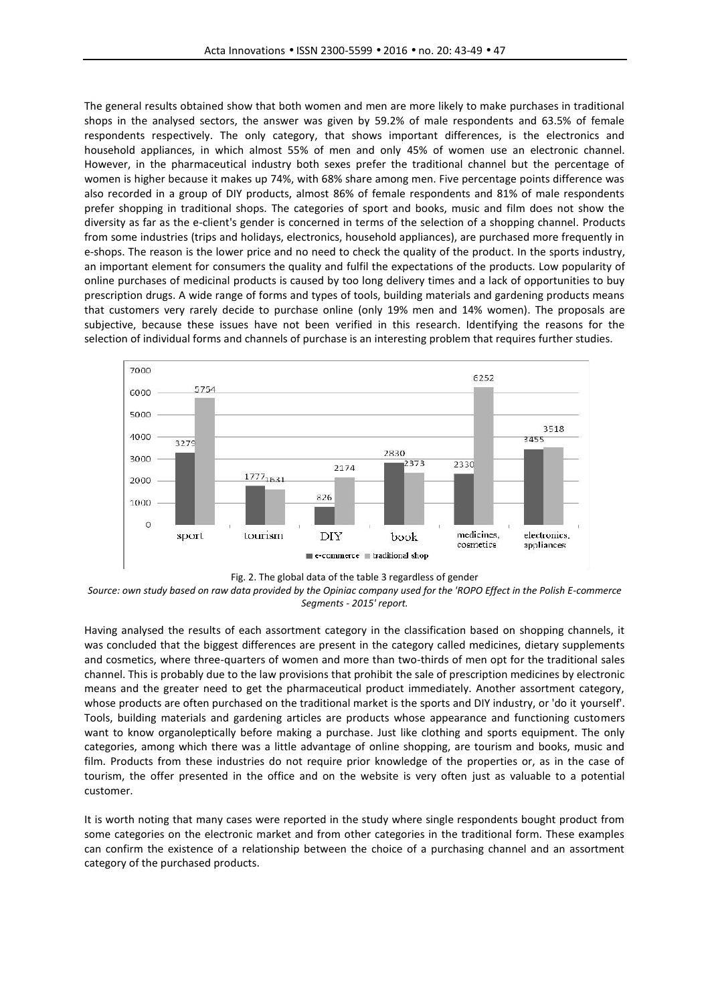The general results obtained show that both women and men are more likely to make purchases in traditional shops in the analysed sectors, the answer was given by 59.2% of male respondents and 63.5% of female respondents respectively. The only category, that shows important differences, is the electronics and household appliances, in which almost 55% of men and only 45% of women use an electronic channel. However, in the pharmaceutical industry both sexes prefer the traditional channel but the percentage of women is higher because it makes up 74%, with 68% share among men. Five percentage points difference was also recorded in a group of DIY products, almost 86% of female respondents and 81% of male respondents prefer shopping in traditional shops. The categories of sport and books, music and film does not show the diversity as far as the e-client's gender is concerned in terms of the selection of a shopping channel. Products from some industries (trips and holidays, electronics, household appliances), are purchased more frequently in e-shops. The reason is the lower price and no need to check the quality of the product. In the sports industry, an important element for consumers the quality and fulfil the expectations of the products. Low popularity of online purchases of medicinal products is caused by too long delivery times and a lack of opportunities to buy prescription drugs. A wide range of forms and types of tools, building materials and gardening products means that customers very rarely decide to purchase online (only 19% men and 14% women). The proposals are subjective, because these issues have not been verified in this research. Identifying the reasons for the selection of individual forms and channels of purchase is an interesting problem that requires further studies.





*Source: own study based on raw data provided by the Opiniac company used for the 'ROPO Effect in the Polish E-commerce Segments - 2015' report.*

Having analysed the results of each assortment category in the classification based on shopping channels, it was concluded that the biggest differences are present in the category called medicines, dietary supplements and cosmetics, where three-quarters of women and more than two-thirds of men opt for the traditional sales channel. This is probably due to the law provisions that prohibit the sale of prescription medicines by electronic means and the greater need to get the pharmaceutical product immediately. Another assortment category, whose products are often purchased on the traditional market is the sports and DIY industry, or 'do it yourself'. Tools, building materials and gardening articles are products whose appearance and functioning customers want to know organoleptically before making a purchase. Just like clothing and sports equipment. The only categories, among which there was a little advantage of online shopping, are tourism and books, music and film. Products from these industries do not require prior knowledge of the properties or, as in the case of tourism, the offer presented in the office and on the website is very often just as valuable to a potential customer.

It is worth noting that many cases were reported in the study where single respondents bought product from some categories on the electronic market and from other categories in the traditional form. These examples can confirm the existence of a relationship between the choice of a purchasing channel and an assortment category of the purchased products.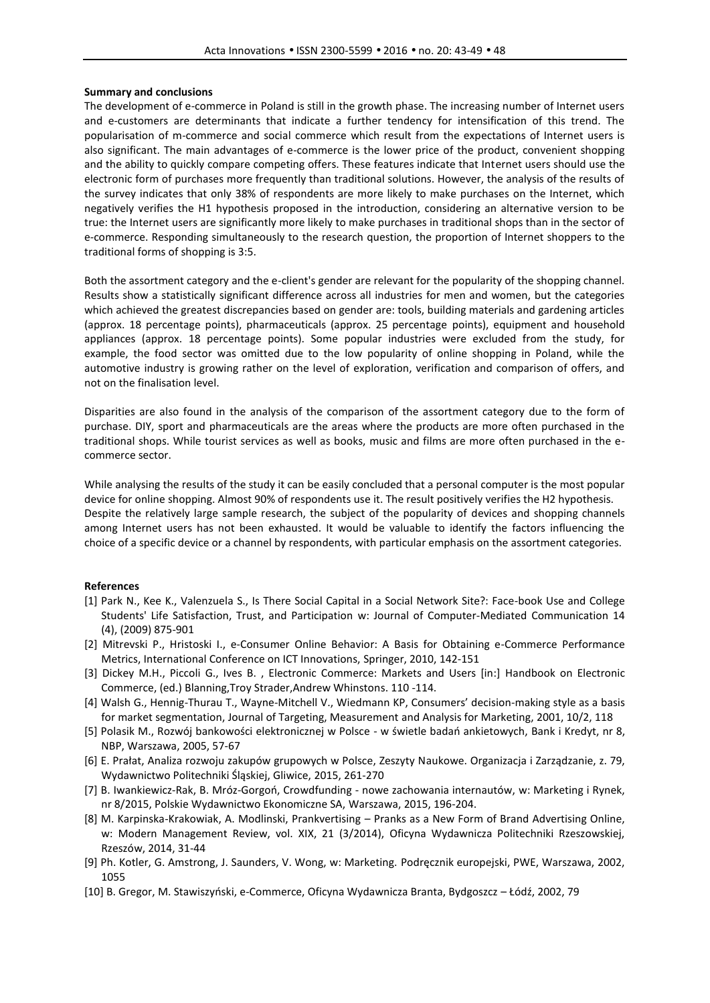## **Summary and conclusions**

The development of e-commerce in Poland is still in the growth phase. The increasing number of Internet users and e-customers are determinants that indicate a further tendency for intensification of this trend. The popularisation of m-commerce and social commerce which result from the expectations of Internet users is also significant. The main advantages of e-commerce is the lower price of the product, convenient shopping and the ability to quickly compare competing offers. These features indicate that Internet users should use the electronic form of purchases more frequently than traditional solutions. However, the analysis of the results of the survey indicates that only 38% of respondents are more likely to make purchases on the Internet, which negatively verifies the H1 hypothesis proposed in the introduction, considering an alternative version to be true: the Internet users are significantly more likely to make purchases in traditional shops than in the sector of e-commerce. Responding simultaneously to the research question, the proportion of Internet shoppers to the traditional forms of shopping is 3:5.

Both the assortment category and the e-client's gender are relevant for the popularity of the shopping channel. Results show a statistically significant difference across all industries for men and women, but the categories which achieved the greatest discrepancies based on gender are: tools, building materials and gardening articles (approx. 18 percentage points), pharmaceuticals (approx. 25 percentage points), equipment and household appliances (approx. 18 percentage points). Some popular industries were excluded from the study, for example, the food sector was omitted due to the low popularity of online shopping in Poland, while the automotive industry is growing rather on the level of exploration, verification and comparison of offers, and not on the finalisation level.

Disparities are also found in the analysis of the comparison of the assortment category due to the form of purchase. DIY, sport and pharmaceuticals are the areas where the products are more often purchased in the traditional shops. While tourist services as well as books, music and films are more often purchased in the e commerce sector.

While analysing the results of the study it can be easily concluded that a personal computer is the most popular device for online shopping. Almost 90% of respondents use it. The result positively verifies the H2 hypothesis. Despite the relatively large sample research, the subject of the popularity of devices and shopping channels among Internet users has not been exhausted. It would be valuable to identify the factors influencing the choice of a specific device or a channel by respondents, with particular emphasis on the assortment categories.

#### **References**

- [1] Park N., Kee K., Valenzuela S., Is There Social Capital in a Social Network Site?: Face-book Use and College Students' Life Satisfaction, Trust, and Participation w: Journal of Computer-Mediated Communication 14 (4), (2009) 875-901
- [2] Mitrevski P., Hristoski I., e-Consumer Online Behavior: A Basis for Obtaining e-Commerce Performance Metrics, International Conference on ICT Innovations, Springer, 2010, 142-151
- [3] Dickey M.H., Piccoli G., Ives B. , Electronic Commerce: Markets and Users [in:] Handbook on Electronic Commerce, (ed.) Blanning,Troy Strader,Andrew Whinstons. 110 -114.
- [4] Walsh G., Hennig-Thurau T., Wayne-Mitchell V., Wiedmann KP, Consumers' decision-making style as a basis for market segmentation, Journal of Targeting, Measurement and Analysis for Marketing, 2001, 10/2, 118
- [5] Polasik M., Rozwój bankowości elektronicznej w Polsce w świetle badań ankietowych, Bank i Kredyt, nr 8, NBP, Warszawa, 2005, 57-67
- [6] E. Prałat, Analiza rozwoju zakupów grupowych w Polsce, Zeszyty Naukowe. Organizacja i Zarządzanie, z. 79, Wydawnictwo Politechniki Śląskiej, Gliwice, 2015, 261-270
- [7] B. Iwankiewicz-Rak, B. Mróz-Gorgoń, Crowdfunding nowe zachowania internautów, w: Marketing i Rynek, nr 8/2015, Polskie Wydawnictwo Ekonomiczne SA, Warszawa, 2015, 196-204.
- [8] M. Karpinska-Krakowiak, A. Modlinski, Prankvertising Pranks as a New Form of Brand Advertising Online, w: Modern Management Review, vol. XIX, 21 (3/2014), Oficyna Wydawnicza Politechniki Rzeszowskiej, Rzeszów, 2014, 31-44
- [9] Ph. Kotler, G. Amstrong, J. Saunders, V. Wong, w: Marketing. Podręcznik europejski, PWE, Warszawa, 2002, 1055
- [10] B. Gregor, M. Stawiszyński, e-Commerce, Oficyna Wydawnicza Branta, Bydgoszcz Łódź, 2002, 79